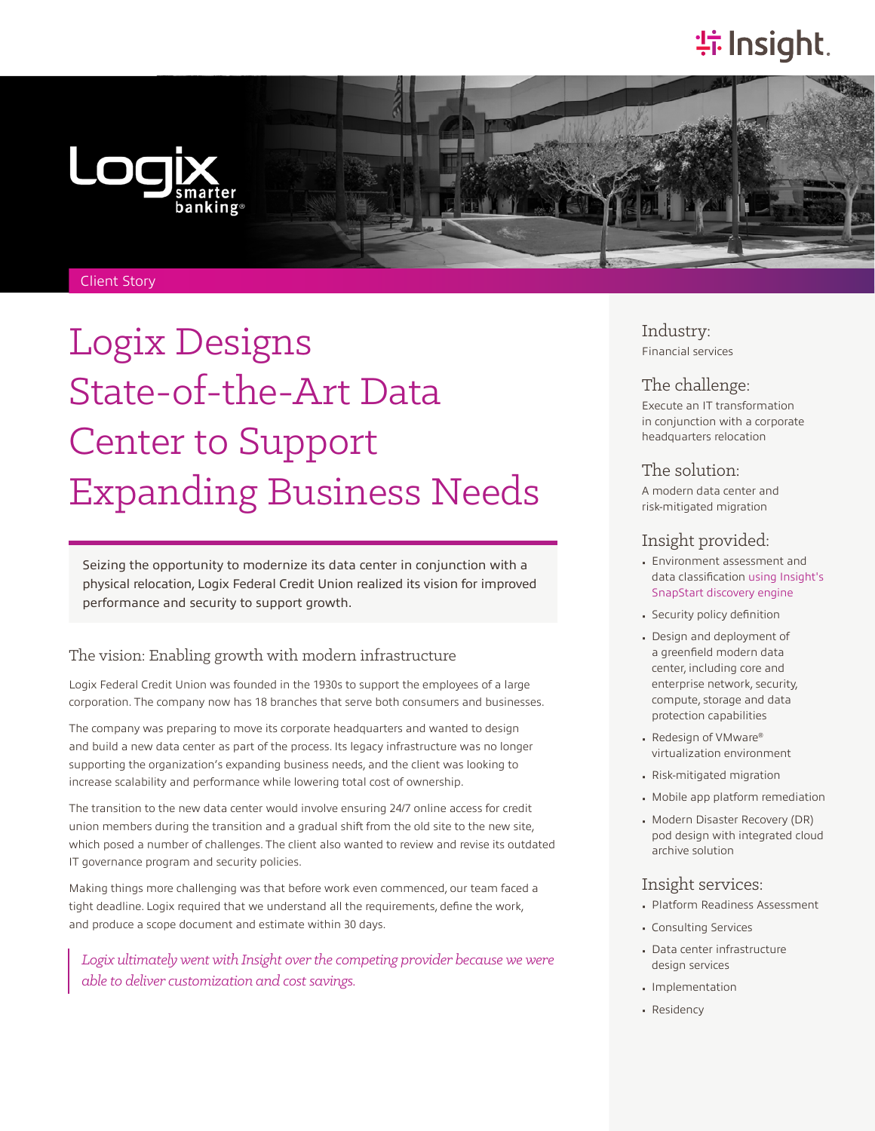# **特Insight**.



#### Client Story

# Logix Designs State-of-the-Art Data Center to Support Expanding Business Needs

Seizing the opportunity to modernize its data center in conjunction with a physical relocation, Logix Federal Credit Union realized its vision for improved performance and security to support growth.

# The vision: Enabling growth with modern infrastructure

Logix Federal Credit Union was founded in the 1930s to support the employees of a large corporation. The company now has 18 branches that serve both consumers and businesses.

The company was preparing to move its corporate headquarters and wanted to design and build a new data center as part of the process. Its legacy infrastructure was no longer supporting the organization's expanding business needs, and the client was looking to increase scalability and performance while lowering total cost of ownership.

The transition to the new data center would involve ensuring 24/7 online access for credit union members during the transition and a gradual shift from the old site to the new site, which posed a number of challenges. The client also wanted to review and revise its outdated IT governance program and security policies.

Making things more challenging was that before work even commenced, our team faced a tight deadline. Logix required that we understand all the requirements, define the work, and produce a scope document and estimate within 30 days.

Logix ultimately went with Insight over the competing provider because we were *able to deliver customization and cost savings.*

Industry: Financial services

# The challenge:

Execute an IT transformation in conjunction with a corporate headquarters relocation

#### The solution:

A modern data center and risk-mitigated migration

# Insight provided:

- Environment assessment and data classification [using Insight's](https://solutions.insight.com/SnapStart) [SnapStart discovery engine](https://solutions.insight.com/SnapStart)
- Security policy definition
- Design and deployment of a greenfield modern data center, including core and enterprise network, security, compute, storage and data protection capabilities
- Redesign of VMware® virtualization environment
- Risk-mitigated migration
- Mobile app platform remediation
- Modern Disaster Recovery (DR) pod design with integrated cloud archive solution

#### Insight services:

- Platform Readiness Assessment
- Consulting Services
- Data center infrastructure design services
- Implementation
- Residency